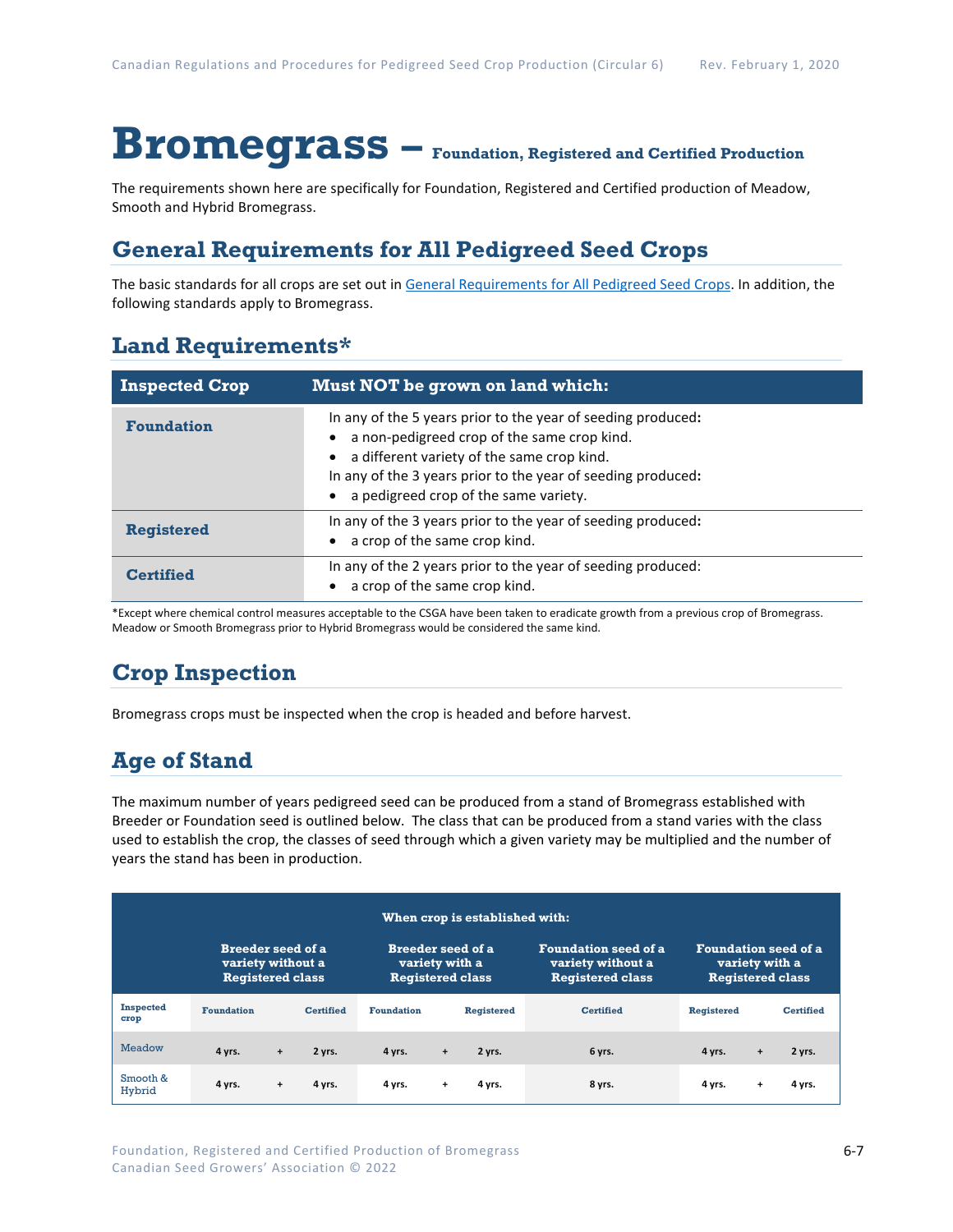# **Bromegrass – Foundation, Registered and Certified Production**

The requirements shown here are specifically for Foundation, Registered and Certified production of Meadow, Smooth and Hybrid Bromegrass.

### **General Requirements for All Pedigreed Seed Crops**

The basic standards for all crops are set out i[n General Requirements for All Pedigreed Seed](https://seedgrowers.ca/wp-content/uploads/2020/01/GENERAL-REQUIREMENTS-ALL-CROPS_EN.pdf) Crops. In addition, the following standards apply to Bromegrass.

### **Land Requirements\***

| <b>Inspected Crop</b> | Must NOT be grown on land which:                                                                                                                                                                                                                                                |  |  |  |  |
|-----------------------|---------------------------------------------------------------------------------------------------------------------------------------------------------------------------------------------------------------------------------------------------------------------------------|--|--|--|--|
| <b>Foundation</b>     | In any of the 5 years prior to the year of seeding produced:<br>a non-pedigreed crop of the same crop kind.<br>a different variety of the same crop kind.<br>$\bullet$<br>In any of the 3 years prior to the year of seeding produced:<br>a pedigreed crop of the same variety. |  |  |  |  |
| <b>Registered</b>     | In any of the 3 years prior to the year of seeding produced:<br>a crop of the same crop kind.                                                                                                                                                                                   |  |  |  |  |
| <b>Certified</b>      | In any of the 2 years prior to the year of seeding produced:<br>a crop of the same crop kind.                                                                                                                                                                                   |  |  |  |  |

\*Except where chemical control measures acceptable to the CSGA have been taken to eradicate growth from a previous crop of Bromegrass. Meadow or Smooth Bromegrass prior to Hybrid Bromegrass would be considered the same kind.

## **Crop Inspection**

Bromegrass crops must be inspected when the crop is headed and before harvest.

## **Age of Stand**

The maximum number of years pedigreed seed can be produced from a stand of Bromegrass established with Breeder or Foundation seed is outlined below. The class that can be produced from a stand varies with the class used to establish the crop, the classes of seed through which a given variety may be multiplied and the number of years the stand has been in production.

| When crop is established with: |                                                                          |           |                  |                                                                       |     |                   |                                                                             |                                                                          |           |                  |
|--------------------------------|--------------------------------------------------------------------------|-----------|------------------|-----------------------------------------------------------------------|-----|-------------------|-----------------------------------------------------------------------------|--------------------------------------------------------------------------|-----------|------------------|
|                                | <b>Breeder seed of a</b><br>variety without a<br><b>Registered class</b> |           |                  | <b>Breeder seed of a</b><br>variety with a<br><b>Registered class</b> |     |                   | <b>Foundation seed of a</b><br>variety without a<br><b>Registered class</b> | <b>Foundation seed of a</b><br>variety with a<br><b>Registered class</b> |           |                  |
| <b>Inspected</b><br>crop       | <b>Foundation</b>                                                        |           | <b>Certified</b> | <b>Foundation</b>                                                     |     | <b>Registered</b> | <b>Certified</b>                                                            | <b>Registered</b>                                                        |           | <b>Certified</b> |
| <b>Meadow</b>                  | 4 yrs.                                                                   | $\ddot{}$ | 2 yrs.           | 4 yrs.                                                                | $+$ | 2 yrs.            | 6 yrs.                                                                      | 4 yrs.                                                                   | $\ddot{}$ | 2 yrs.           |
| Smooth &<br>Hybrid             | 4 yrs.                                                                   | $\ddot{}$ | 4 yrs.           | 4 yrs.                                                                | $+$ | 4 yrs.            | 8 yrs.                                                                      | 4 yrs.                                                                   | $\ddot{}$ | 4 yrs.           |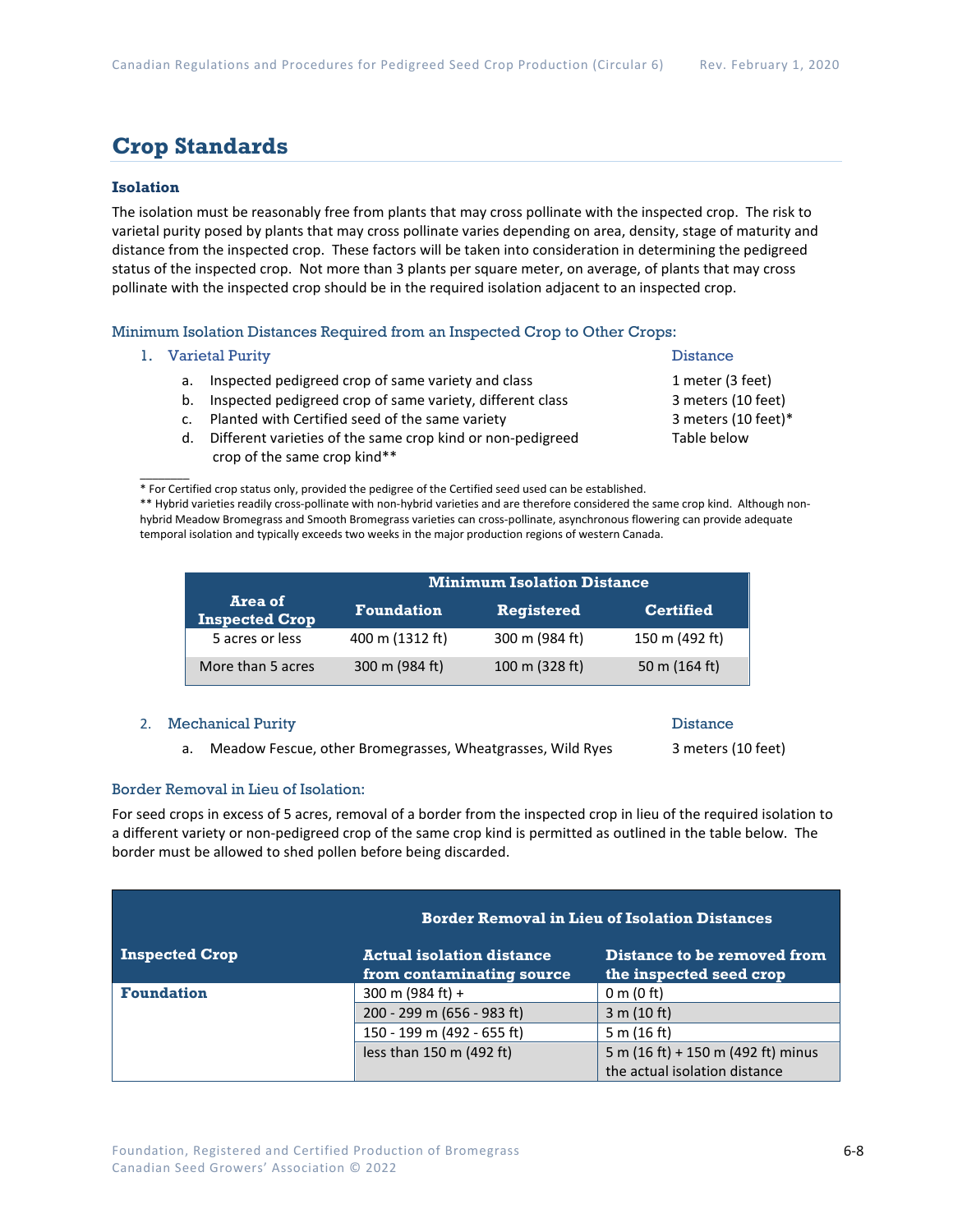### **Crop Standards**

### **Isolation**

The isolation must be reasonably free from plants that may cross pollinate with the inspected crop. The risk to varietal purity posed by plants that may cross pollinate varies depending on area, density, stage of maturity and distance from the inspected crop. These factors will be taken into consideration in determining the pedigreed status of the inspected crop. Not more than 3 plants per square meter, on average, of plants that may cross pollinate with the inspected crop should be in the required isolation adjacent to an inspected crop.

Minimum Isolation Distances Required from an Inspected Crop to Other Crops:

1. Varietal Purity **Distance** 

 $\overline{\phantom{a}}$ 

- a. Inspected pedigreed crop of same variety and class 1 meter (3 feet)
- b. Inspected pedigreed crop of same variety, different class 3 meters (10 feet)
- c. Planted with Certified seed of the same variety 3 meters (10 feet)\*
- d. Different varieties of the same crop kind or non-pedigreed Table below crop of the same crop kind\*\*

\* For Certified crop status only, provided the pedigree of the Certified seed used can be established.

\*\* Hybrid varieties readily cross-pollinate with non-hybrid varieties and are therefore considered the same crop kind. Although nonhybrid Meadow Bromegrass and Smooth Bromegrass varieties can cross-pollinate, asynchronous flowering can provide adequate temporal isolation and typically exceeds two weeks in the major production regions of western Canada.

|                           | <b>Minimum Isolation Distance</b> |                   |                  |  |  |
|---------------------------|-----------------------------------|-------------------|------------------|--|--|
| Area of<br>Inspected Crop | <b>Foundation</b>                 | <b>Registered</b> | <b>Certified</b> |  |  |
| 5 acres or less           | 400 m (1312 ft)                   | 300 m (984 ft)    | 150 m (492 ft)   |  |  |
| More than 5 acres         | 300 m (984 ft)                    | 100 m (328 ft)    | 50 m (164 ft)    |  |  |

#### 2. Mechanical Purity **Distance 2. Separate Service 2. Alternative Contract Automobile 2. Alternative Distance**

a. Meadow Fescue, other Bromegrasses, Wheatgrasses, Wild Ryes 3 meters (10 feet)

### Border Removal in Lieu of Isolation:

For seed crops in excess of 5 acres, removal of a border from the inspected crop in lieu of the required isolation to a different variety or non-pedigreed crop of the same crop kind is permitted as outlined in the table below. The border must be allowed to shed pollen before being discarded.

|                       | <b>Border Removal in Lieu of Isolation Distances</b>          |                                                        |  |  |
|-----------------------|---------------------------------------------------------------|--------------------------------------------------------|--|--|
| <b>Inspected Crop</b> | <b>Actual isolation distance</b><br>from contaminating source | Distance to be removed from<br>the inspected seed crop |  |  |
| <b>Foundation</b>     | 300 m (984 ft) +                                              | 0 m (0 ft)                                             |  |  |
|                       | 200 - 299 m (656 - 983 ft)                                    | 3 m (10 ft)                                            |  |  |
|                       | 150 - 199 m (492 - 655 ft)                                    | 5 m $(16 ft)$                                          |  |  |
|                       | less than 150 m (492 ft)                                      | 5 m (16 ft) + 150 m (492 ft) minus                     |  |  |
|                       |                                                               | the actual isolation distance                          |  |  |